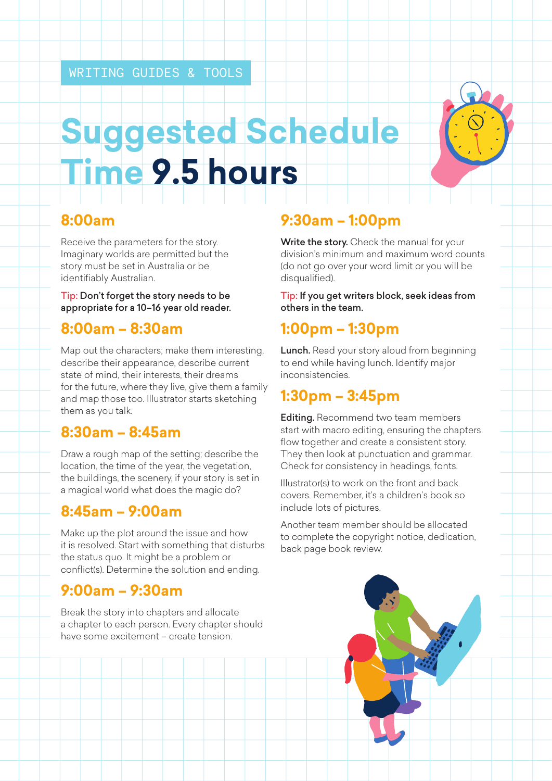# **Suggested Schedule Time 9.5 hours**

#### **8:00am**

Receive the parameters for the story. Imaginary worlds are permitted but the story must be set in Australia or be identifiably Australian.

Tip: Don't forget the story needs to be appropriate for a 10–16 year old reader.

#### **8:00am – 8:30am**

Map out the characters; make them interesting, describe their appearance, describe current state of mind, their interests, their dreams for the future, where they live, give them a family and map those too. Illustrator starts sketching them as you talk.

# **8:30am – 8:45am**

Draw a rough map of the setting; describe the location, the time of the year, the vegetation, the buildings, the scenery, if your story is set in a magical world what does the magic do?

#### **8:45am – 9:00am**

Make up the plot around the issue and how it is resolved. Start with something that disturbs the status quo. It might be a problem or conflict(s). Determine the solution and ending.

# **9:00am – 9:30am**

Break the story into chapters and allocate a chapter to each person. Every chapter should have some excitement – create tension.

# **9:30am – 1:00pm**

Write the story. Check the manual for your division's minimum and maximum word counts (do not go over your word limit or you will be disqualified).

Tip: If you get writers block, seek ideas from others in the team.

# **1:00pm – 1:30pm**

Lunch. Read your story aloud from beginning to end while having lunch. Identify major inconsistencies.

# **1:30pm – 3:45pm**

**Editing.** Recommend two team members start with macro editing, ensuring the chapters flow together and create a consistent story. They then look at punctuation and grammar. Check for consistency in headings, fonts.

Illustrator(s) to work on the front and back covers. Remember, it's a children's book so include lots of pictures.

Another team member should be allocated to complete the copyright notice, dedication, back page book review.